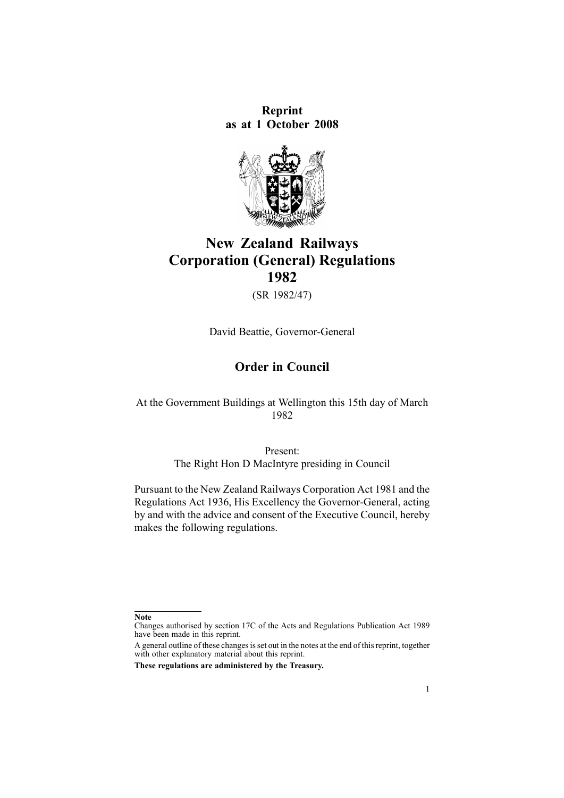**Reprint as at 1 October 2008**



## **New Zealand Railways Corporation (General) Regulations 1982**

(SR 1982/47)

David Beattie, Governor-General

### **Order in Council**

At the Government Buildings at Wellington this 15th day of March 1982

> Present: The Right Hon D MacIntyre presiding in Council

Pursuant to the New Zealand Railways [Corporation](http://www.legislation.govt.nz/pdflink.aspx?id=DLM57005) Act 1981 and the Regulations Act 1936, His Excellency the Governor-General, acting by and with the advice and consent of the Executive Council, hereby makes the following regulations.

**Note**

Changes authorised by [section](http://www.legislation.govt.nz/pdflink.aspx?id=DLM195466) 17C of the Acts and Regulations Publication Act 1989 have been made in this reprint.

A general outline of these changes is set out in the notes at the end of this reprint, together with other explanatory material about this reprint.

**These regulations are administered by the Treasury.**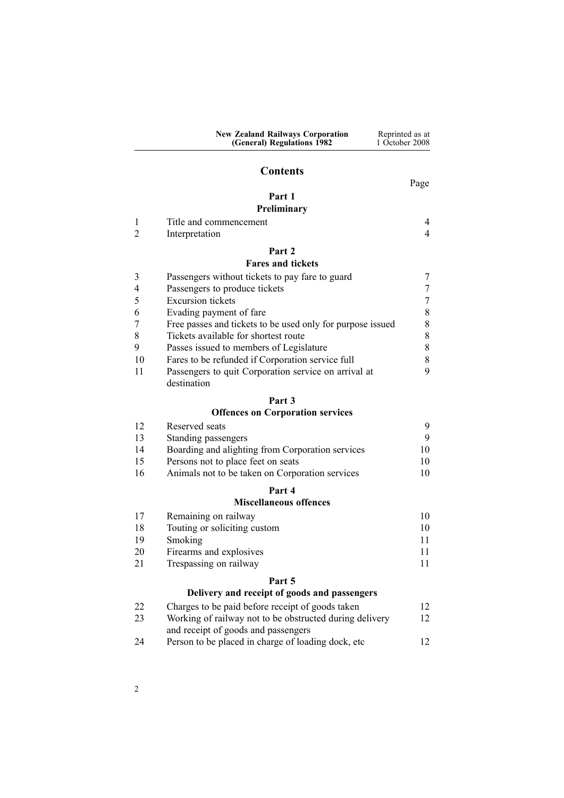|                | <b>Contents</b>                                            |      |
|----------------|------------------------------------------------------------|------|
|                |                                                            | Page |
|                | Part 1                                                     |      |
|                | <b>Preliminary</b>                                         |      |
|                | Title and commencement                                     | 4    |
| $\mathfrak{D}$ | Interpretation                                             | 4    |
|                | Part 2                                                     |      |
|                | <b>Fares and tickets</b>                                   |      |
| 3              | Passengers without tickets to pay fare to guard            |      |
|                | Passengers to produce tickets                              |      |
| 5              | Excursion tickets                                          |      |
| 6              | Evading payment of fare                                    | 8    |
|                | Free passes and tickets to be used only for purpose issued | 8    |
| 8              | Tickets available for shortest route                       | 8    |
| 9              | Passes issued to members of Legislature                    | 8    |
| 10             | Fares to be refunded if Corporation service full           | 8    |
| 11             | Passengers to quit Corporation service on arrival at       | 9    |

**New Zealand Railways Corporation (General) Regulations 1982**

Reprinted as at 1 October 2008

[12](#page-11-0)

| 11 | Passengers to quit Corporation service on arrival at |
|----|------------------------------------------------------|
|    | destination                                          |

# **[Part](#page-8-0) 3**

### **Offences on [Corporation](#page-8-0) services**

| 12 | Reserved seats                                   |    |
|----|--------------------------------------------------|----|
| 13 | Standing passengers                              | 9  |
| 14 | Boarding and alighting from Corporation services | 10 |
| 15 | Persons not to place feet on seats               | 10 |
| 16 | Animals not to be taken on Corporation services  | 10 |
|    | Part 4                                           |    |

#### **[Miscellaneous](#page-9-0) offences**

| 17 | Remaining on railway                         | 10 |
|----|----------------------------------------------|----|
| 18 | Touting or soliciting custom                 | 10 |
| 19 | Smoking                                      | 11 |
| 20 | Firearms and explosives                      | 11 |
| 21 | Trespassing on railway                       | 11 |
|    | Part 5                                       |    |
|    | Delivery and receint of goods and passengers |    |

| Denvery and receipt or goods and passengers |                                                         |    |  |
|---------------------------------------------|---------------------------------------------------------|----|--|
| 22                                          | Charges to be paid before receipt of goods taken        | 12 |  |
| 23                                          | Working of railway not to be obstructed during delivery | 12 |  |

|    | and receipt of goods and passengers                 |  |
|----|-----------------------------------------------------|--|
| 24 | Person to be placed in charge of loading dock, etc. |  |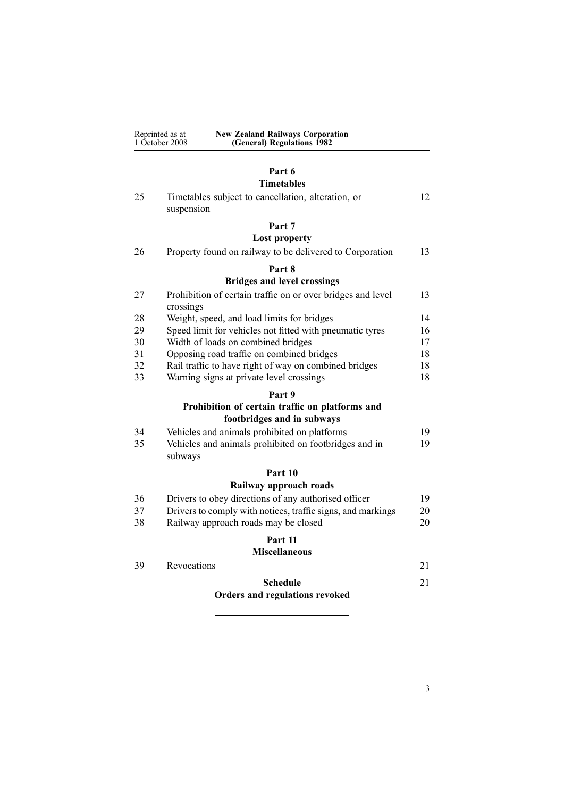| Reprinted as at | <b>New Zealand Railways Corporation</b> |
|-----------------|-----------------------------------------|
| 1 October 2008  | (General) Regulations 1982              |

## **[Part](#page-11-0) 6**

## **[Timetables](#page-11-0)**

|    | 1 iinetables                                                                  |    |
|----|-------------------------------------------------------------------------------|----|
| 25 | Timetables subject to cancellation, alteration, or<br>suspension              | 12 |
|    | Part 7                                                                        |    |
|    | <b>Lost property</b>                                                          |    |
| 26 | Property found on railway to be delivered to Corporation                      | 13 |
|    | Part 8                                                                        |    |
|    | <b>Bridges and level crossings</b>                                            |    |
| 27 | Prohibition of certain traffic on or over bridges and level<br>crossings      | 13 |
| 28 | Weight, speed, and load limits for bridges                                    | 14 |
| 29 | Speed limit for vehicles not fitted with pneumatic tyres                      | 16 |
| 30 | Width of loads on combined bridges                                            | 17 |
| 31 | Opposing road traffic on combined bridges                                     | 18 |
| 32 | Rail traffic to have right of way on combined bridges                         | 18 |
| 33 | Warning signs at private level crossings                                      | 18 |
|    | Part 9                                                                        |    |
|    | Prohibition of certain traffic on platforms and<br>footbridges and in subways |    |
| 34 | Vehicles and animals prohibited on platforms                                  | 19 |
| 35 | Vehicles and animals prohibited on footbridges and in<br>subways              | 19 |
|    | Part 10                                                                       |    |
|    | Railway approach roads                                                        |    |
| 36 | Drivers to obey directions of any authorised officer                          | 19 |
| 37 | Drivers to comply with notices, traffic signs, and markings                   | 20 |
| 38 | Railway approach roads may be closed                                          | 20 |
|    | Part 11                                                                       |    |
|    | <b>Miscellaneous</b>                                                          |    |
| 39 | Revocations                                                                   | 21 |

| <b>Schedule</b>                |  |
|--------------------------------|--|
| Orders and regulations revoked |  |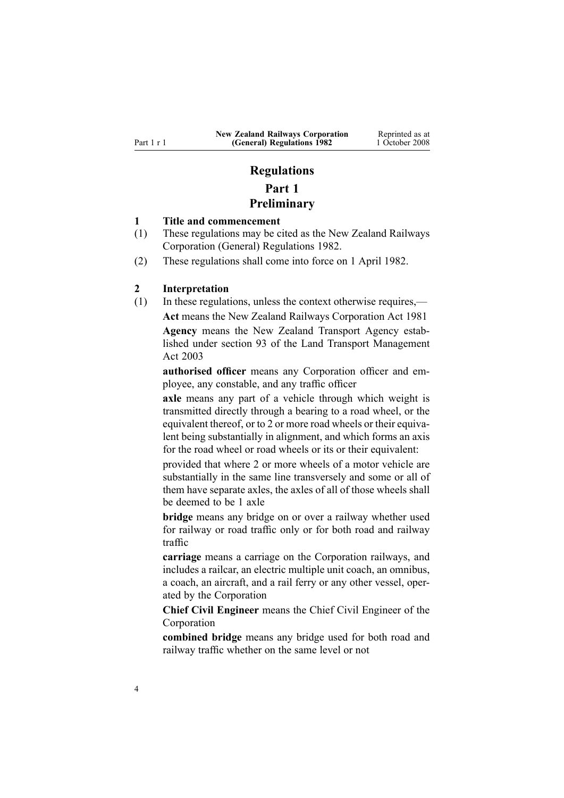## **Regulations Part 1 Preliminary**

#### <span id="page-3-0"></span>**1 Title and commencement**

- (1) These regulations may be cited as the New Zealand Railways Corporation (General) Regulations 1982.
- (2) These regulations shall come into force on 1 April 1982.

#### **2 Interpretation**

(1) In these regulations, unless the context otherwise requires,— **Act** means the New Zealand Railways [Corporation](http://www.legislation.govt.nz/pdflink.aspx?id=DLM57005) Act 1981 **Agency** means the New Zealand Transport Agency established under [section](http://www.legislation.govt.nz/pdflink.aspx?id=DLM228044) 93 of the Land Transport Management Act 2003

**authorised officer** means any Corporation officer and employee, any constable, and any traffic officer

**axle** means any par<sup>t</sup> of <sup>a</sup> vehicle through which weight is transmitted directly through <sup>a</sup> bearing to <sup>a</sup> road wheel, or the equivalent thereof, or to 2 or more road wheels or their equivalent being substantially in alignment, and which forms an axis for the road wheel or road wheels or its or their equivalent:

provided that where 2 or more wheels of <sup>a</sup> motor vehicle are substantially in the same line transversely and some or all of them have separate axles, the axles of all of those wheels shall be deemed to be 1 axle

**bridge** means any bridge on or over <sup>a</sup> railway whether used for railway or road traffic only or for both road and railway traffic

**carriage** means <sup>a</sup> carriage on the Corporation railways, and includes <sup>a</sup> railcar, an electric multiple unit coach, an omnibus, <sup>a</sup> coach, an aircraft, and <sup>a</sup> rail ferry or any other vessel, operated by the Corporation

**Chief Civil Engineer** means the Chief Civil Engineer of the Corporation

**combined bridge** means any bridge used for both road and railway traffic whether on the same level or not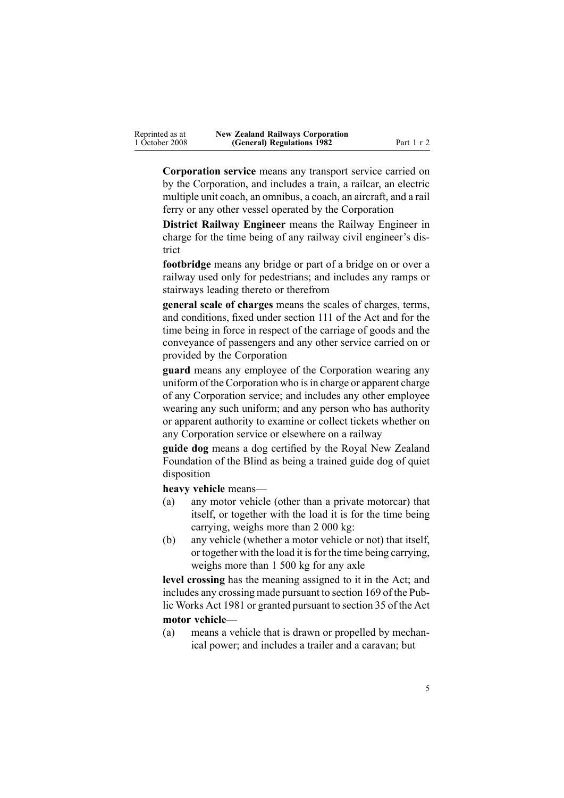| Reprinted as at | <b>New Zealand Railways Corporation</b> |
|-----------------|-----------------------------------------|
| 1 October 2008  | (General) Regulations 1982              |

**Corporation service** means any transport service carried on by the Corporation, and includes <sup>a</sup> train, <sup>a</sup> railcar, an electric multiple unit coach, an omnibus, <sup>a</sup> coach, an aircraft, and <sup>a</sup> rail ferry or any other vessel operated by the Corporation

**(General) Regulations 1982** Part 1 <sup>r</sup> 2

**District Railway Engineer** means the Railway Engineer in charge for the time being of any railway civil engineer's district

**footbridge** means any bridge or par<sup>t</sup> of <sup>a</sup> bridge on or over <sup>a</sup> railway used only for pedestrians; and includes any ramps or stairways leading thereto or therefrom

**general scale of charges** means the scales of charges, terms, and conditions, fixed under [section](http://www.legislation.govt.nz/pdflink.aspx?id=DLM58258) 111 of the Act and for the time being in force in respec<sup>t</sup> of the carriage of goods and the conveyance of passengers and any other service carried on or provided by the Corporation

**guard** means any employee of the Corporation wearing any uniform of the Corporation who is in charge or apparent charge of any Corporation service; and includes any other employee wearing any such uniform; and any person who has authority or apparen<sup>t</sup> authority to examine or collect tickets whether on any Corporation service or elsewhere on <sup>a</sup> railway

**guide dog** means <sup>a</sup> dog certified by the Royal New Zealand Foundation of the Blind as being <sup>a</sup> trained guide dog of quiet disposition

**heavy vehicle** means—

- (a) any motor vehicle (other than <sup>a</sup> private motorcar) that itself, or together with the load it is for the time being carrying, weighs more than 2 000 kg:
- (b) any vehicle (whether <sup>a</sup> motor vehicle or not) that itself, or together with the load it isfor the time being carrying, weighs more than 1 500 kg for any axle

**level crossing** has the meaning assigned to it in the Act; and includes any crossing made pursuan<sup>t</sup> to [section](http://www.legislation.govt.nz/pdflink.aspx?id=DLM47757) 169 of the Public Works Act 1981 or granted pursuan<sup>t</sup> to [section](http://www.legislation.govt.nz/pdflink.aspx?id=DLM57674) 35 of the Act **motor vehicle**—

(a) means <sup>a</sup> vehicle that is drawn or propelled by mechanical power; and includes <sup>a</sup> trailer and <sup>a</sup> caravan; but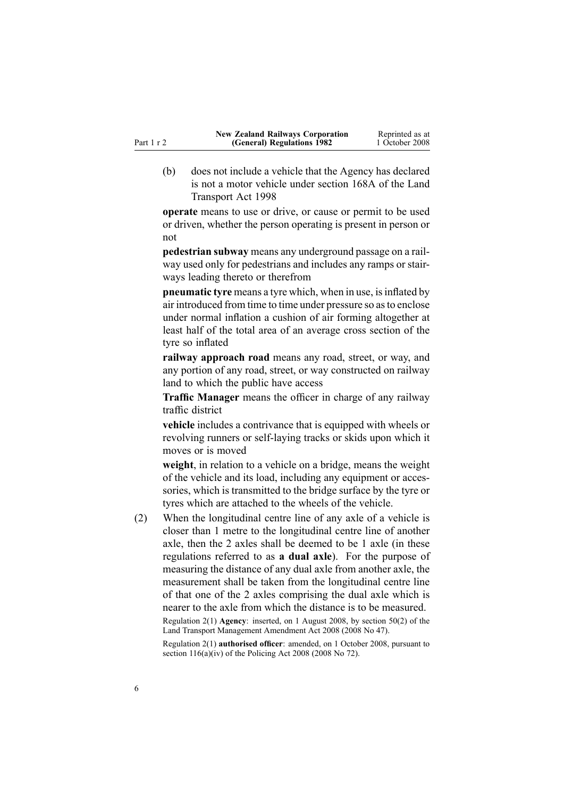|            | <b>New Zealand Railways Corporation</b> | Reprinted as at |
|------------|-----------------------------------------|-----------------|
| Part 1 r 2 | (General) Regulations 1982              | 1 October 2008  |

(b) does not include <sup>a</sup> vehicle that the Agency has declared is not <sup>a</sup> motor vehicle under [section](http://www.legislation.govt.nz/pdflink.aspx?id=DLM435415) 168A of the Land Transport Act 1998

**operate** means to use or drive, or cause or permit to be used or driven, whether the person operating is presen<sup>t</sup> in person or not

**pedestrian subway** means any underground passage on <sup>a</sup> railway used only for pedestrians and includes any ramps or stairways leading thereto or therefrom

**pneumatic tyre** means a tyre which, when in use, is inflated by air introduced from time to time under pressure so asto enclose under normal inflation <sup>a</sup> cushion of air forming altogether at least half of the total area of an average cross section of the tyre so inflated

**railway approach road** means any road, street, or way, and any portion of any road, street, or way constructed on railway land to which the public have access

**Traffic Manager** means the officer in charge of any railway traffic district

**vehicle** includes <sup>a</sup> contrivance that is equipped with wheels or revolving runners or self-laying tracks or skids upon which it moves or is moved

**weight**, in relation to <sup>a</sup> vehicle on <sup>a</sup> bridge, means the weight of the vehicle and its load, including any equipment or accessories, which is transmitted to the bridge surface by the tyre or tyres which are attached to the wheels of the vehicle.

(2) When the longitudinal centre line of any axle of <sup>a</sup> vehicle is closer than 1 metre to the longitudinal centre line of another axle, then the 2 axles shall be deemed to be 1 axle (in these regulations referred to as **<sup>a</sup> dual axle**). For the purpose of measuring the distance of any dual axle from another axle, the measurement shall be taken from the longitudinal centre line of that one of the 2 axles comprising the dual axle which is nearer to the axle from which the distance is to be measured.

Regulation 2(1) **Agency**: inserted, on 1 August 2008, by [section](http://www.legislation.govt.nz/pdflink.aspx?id=DLM1313622) 50(2) of the Land Transport Management Amendment Act 2008 (2008 No 47).

Regulation 2(1) **authorised officer**: amended, on 1 October 2008, pursuan<sup>t</sup> to section [116\(a\)\(iv\)](http://www.legislation.govt.nz/pdflink.aspx?id=DLM1102349) of the Policing Act 2008 (2008 No 72).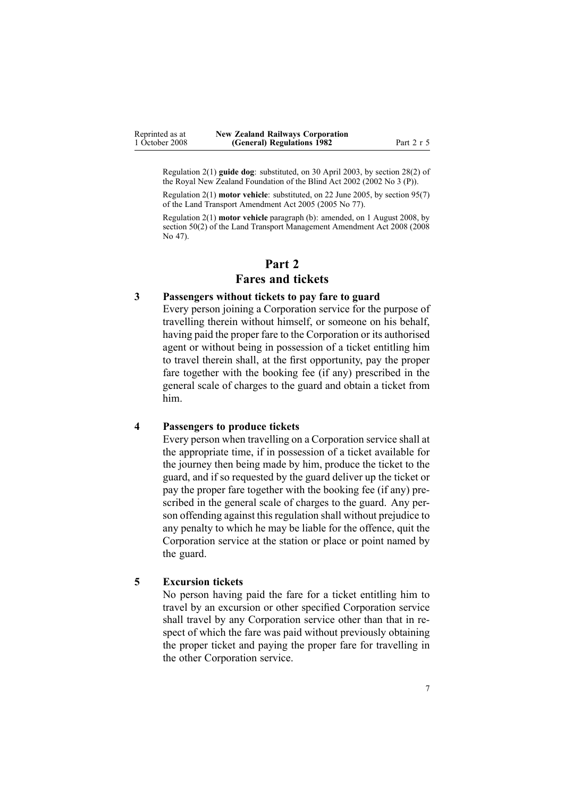<span id="page-6-0"></span>Regulation 2(1) **guide dog**: substituted, on 30 April 2003, by [section](http://www.legislation.govt.nz/pdflink.aspx?id=DLM121634) 28(2) of the Royal New Zealand Foundation of the Blind Act 2002 (2002 No 3 (P)).

Regulation 2(1) **motor vehicle**: substituted, on 22 June 2005, by [section](http://www.legislation.govt.nz/pdflink.aspx?id=DLM353501) 95(7) of the Land Transport Amendment Act 2005 (2005 No 77).

Regulation 2(1) **motor vehicle** paragraph (b): amended, on 1 August 2008, by [section](http://www.legislation.govt.nz/pdflink.aspx?id=DLM1313622) 50(2) of the Land Transport Management Amendment Act 2008 (2008 No 47).

### **Part 2 Fares and tickets**

#### **3 Passengers without tickets to pay fare to guard**

Every person joining <sup>a</sup> Corporation service for the purpose of travelling therein without himself, or someone on his behalf, having paid the proper fare to the Corporation or its authorised agen<sup>t</sup> or without being in possession of <sup>a</sup> ticket entitling him to travel therein shall, at the first opportunity, pay the proper fare together with the booking fee (if any) prescribed in the general scale of charges to the guard and obtain <sup>a</sup> ticket from him.

#### **4 Passengers to produce tickets**

Every person when travelling on <sup>a</sup> Corporation service shall at the appropriate time, if in possession of <sup>a</sup> ticket available for the journey then being made by him, produce the ticket to the guard, and if so requested by the guard deliver up the ticket or pay the proper fare together with the booking fee (if any) prescribed in the general scale of charges to the guard. Any person offending against this regulation shall without prejudice to any penalty to which he may be liable for the offence, quit the Corporation service at the station or place or point named by the guard.

#### **5 Excursion tickets**

No person having paid the fare for <sup>a</sup> ticket entitling him to travel by an excursion or other specified Corporation service shall travel by any Corporation service other than that in respec<sup>t</sup> of which the fare was paid without previously obtaining the proper ticket and paying the proper fare for travelling in the other Corporation service.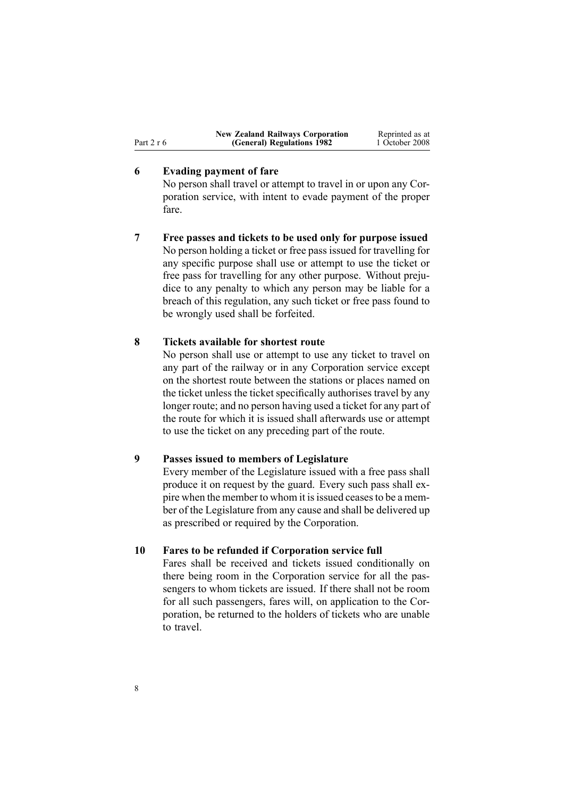<span id="page-7-0"></span>

|              | <b>New Zealand Railways Corporation</b> | Reprinted as at |
|--------------|-----------------------------------------|-----------------|
| Part $2 r 6$ | (General) Regulations 1982              | 1 October 2008  |

#### **6 Evading payment of fare**

No person shall travel or attempt to travel in or upon any Corporation service, with intent to evade paymen<sup>t</sup> of the proper fare.

**7 Free passes and tickets to be used only for purpose issued** No person holding <sup>a</sup> ticket or free pass issued for travelling for any specific purpose shall use or attempt to use the ticket or free pass for travelling for any other purpose. Without prejudice to any penalty to which any person may be liable for <sup>a</sup> breach of this regulation, any such ticket or free pass found to be wrongly used shall be forfeited.

#### **8 Tickets available for shortest route**

No person shall use or attempt to use any ticket to travel on any par<sup>t</sup> of the railway or in any Corporation service excep<sup>t</sup> on the shortest route between the stations or places named on the ticket unless the ticket specifically authorises travel by any longer route; and no person having used <sup>a</sup> ticket for any par<sup>t</sup> of the route for which it is issued shall afterwards use or attempt to use the ticket on any preceding par<sup>t</sup> of the route.

#### **9 Passes issued to members of Legislature**

Every member of the Legislature issued with <sup>a</sup> free pass shall produce it on reques<sup>t</sup> by the guard. Every such pass shall expire when the member to whom it is issued ceases to be a member of the Legislature from any cause and shall be delivered up as prescribed or required by the Corporation.

#### **10 Fares to be refunded if Corporation service full**

Fares shall be received and tickets issued conditionally on there being room in the Corporation service for all the passengers to whom tickets are issued. If there shall not be room for all such passengers, fares will, on application to the Corporation, be returned to the holders of tickets who are unable to travel.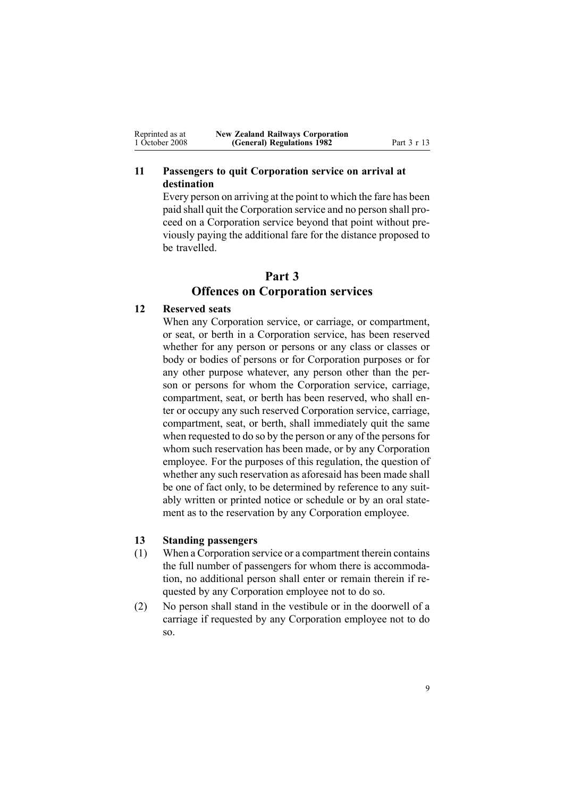<span id="page-8-0"></span>

| Reprinted as at | <b>New Zealand Railways Corporation</b> |             |
|-----------------|-----------------------------------------|-------------|
| 1 October 2008  | (General) Regulations 1982              | Part 3 r 13 |

#### **11 Passengers to quit Corporation service on arrival at destination**

Every person on arriving at the point to which the fare has been paid shall quit the Corporation service and no person shall proceed on <sup>a</sup> Corporation service beyond that point without previously paying the additional fare for the distance proposed to be travelled.

## **Part 3 Offences on Corporation services**

#### **12 Reserved seats**

When any Corporation service, or carriage, or compartment. or seat, or berth in <sup>a</sup> Corporation service, has been reserved whether for any person or persons or any class or classes or body or bodies of persons or for Corporation purposes or for any other purpose whatever, any person other than the person or persons for whom the Corporation service, carriage, compartment, seat, or berth has been reserved, who shall enter or occupy any such reserved Corporation service, carriage, compartment, seat, or berth, shall immediately quit the same when requested to do so by the person or any of the persons for whom such reservation has been made, or by any Corporation employee. For the purposes of this regulation, the question of whether any such reservation as aforesaid has been made shall be one of fact only, to be determined by reference to any suitably written or printed notice or schedule or by an oral statement as to the reservation by any Corporation employee.

#### **13 Standing passengers**

- (1) When <sup>a</sup> Corporation service or <sup>a</sup> compartment therein contains the full number of passengers for whom there is accommodation, no additional person shall enter or remain therein if requested by any Corporation employee not to do so.
- (2) No person shall stand in the vestibule or in the doorwell of <sup>a</sup> carriage if requested by any Corporation employee not to do so.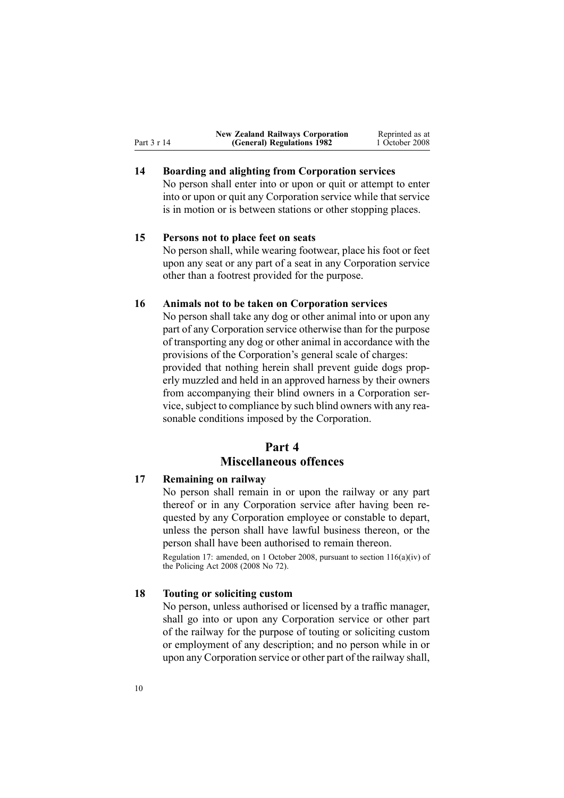<span id="page-9-0"></span>

|             | <b>New Zealand Railways Corporation</b> | Reprinted as at |
|-------------|-----------------------------------------|-----------------|
| Part 3 r 14 | (General) Regulations 1982              | 1 October 2008  |

### **14 Boarding and alighting from Corporation services**

No person shall enter into or upon or quit or attempt to enter into or upon or quit any Corporation service while that service is in motion or is between stations or other stopping places.

### **15 Persons not to place feet on seats**

No person shall, while wearing footwear, place his foot or feet upon any seat or any par<sup>t</sup> of <sup>a</sup> seat in any Corporation service other than <sup>a</sup> footrest provided for the purpose.

#### **16 Animals not to be taken on Corporation services**

No person shall take any dog or other animal into or upon any par<sup>t</sup> of any Corporation service otherwise than for the purpose of transporting any dog or other animal in accordance with the provisions of the Corporation's general scale of charges: provided that nothing herein shall preven<sup>t</sup> guide dogs properly muzzled and held in an approved harness by their owners from accompanying their blind owners in <sup>a</sup> Corporation service, subject to compliance by such blind owners with any reasonable conditions imposed by the Corporation.

### **Part 4 Miscellaneous offences**

#### **17 Remaining on railway**

No person shall remain in or upon the railway or any par<sup>t</sup> thereof or in any Corporation service after having been requested by any Corporation employee or constable to depart, unless the person shall have lawful business thereon, or the person shall have been authorised to remain thereon.

Regulation 17: amended, on 1 October 2008, pursuan<sup>t</sup> to section [116\(a\)\(iv\)](http://www.legislation.govt.nz/pdflink.aspx?id=DLM1102349) of the Policing Act 2008 (2008 No 72).

#### **18 Touting or soliciting custom**

No person, unless authorised or licensed by <sup>a</sup> traffic manager, shall go into or upon any Corporation service or other par<sup>t</sup> of the railway for the purpose of touting or soliciting custom or employment of any description; and no person while in or upon any Corporation service or other par<sup>t</sup> of the railway shall,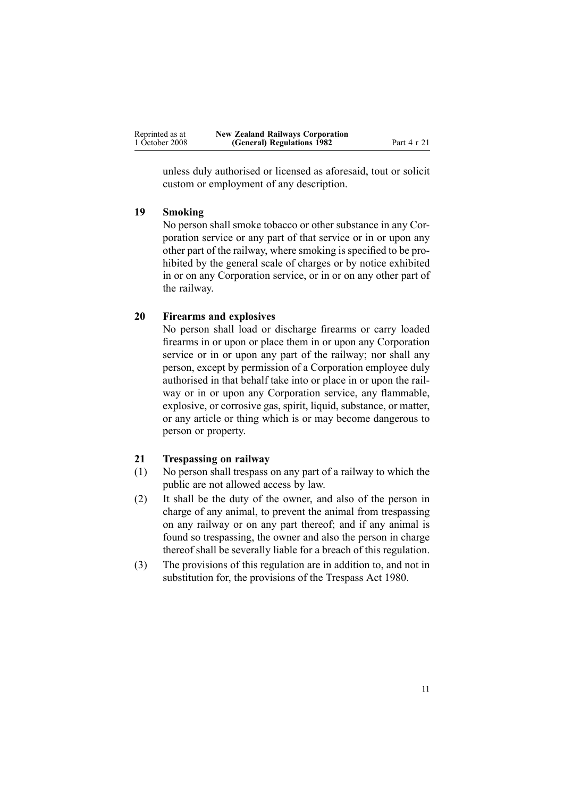<span id="page-10-0"></span>

| Reprinted as at | <b>New Zealand Railways Corporation</b> |             |
|-----------------|-----------------------------------------|-------------|
| 1 October 2008  | (General) Regulations 1982              | Part 4 r 21 |

unless duly authorised or licensed as aforesaid, tout or solicit custom or employment of any description.

#### **19 Smoking**

No person shall smoke tobacco or other substance in any Corporation service or any par<sup>t</sup> of that service or in or upon any other par<sup>t</sup> of the railway, where smoking is specified to be prohibited by the general scale of charges or by notice exhibited in or on any Corporation service, or in or on any other par<sup>t</sup> of the railway.

#### **20 Firearms and explosives**

No person shall load or discharge firearms or carry loaded firearms in or upon or place them in or upon any Corporation service or in or upon any par<sup>t</sup> of the railway; nor shall any person, excep<sup>t</sup> by permission of <sup>a</sup> Corporation employee duly authorised in that behalf take into or place in or upon the railway or in or upon any Corporation service, any flammable, explosive, or corrosive gas, spirit, liquid, substance, or matter, or any article or thing which is or may become dangerous to person or property.

#### **21 Trespassing on railway**

- (1) No person shall trespass on any par<sup>t</sup> of <sup>a</sup> railway to which the public are not allowed access by law.
- (2) It shall be the duty of the owner, and also of the person in charge of any animal, to preven<sup>t</sup> the animal from trespassing on any railway or on any par<sup>t</sup> thereof; and if any animal is found so trespassing, the owner and also the person in charge thereof shall be severally liable for <sup>a</sup> breach of this regulation.
- (3) The provisions of this regulation are in addition to, and not in substitution for, the provisions of the [Trespass](http://www.legislation.govt.nz/pdflink.aspx?id=DLM36926) Act 1980.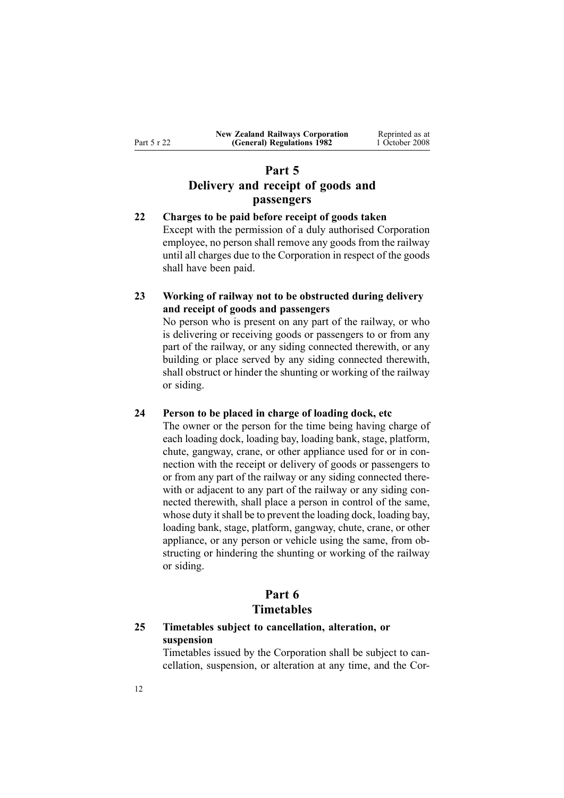## <span id="page-11-0"></span>**Part 5 Delivery and receipt of goods and passengers**

**22 Charges to be paid before receipt of goods taken** Except with the permission of <sup>a</sup> duly authorised Corporation employee, no person shall remove any goods from the railway until all charges due to the Corporation in respec<sup>t</sup> of the goods shall have been paid.

### **23 Working of railway not to be obstructed during delivery and receipt of goods and passengers**

No person who is presen<sup>t</sup> on any par<sup>t</sup> of the railway, or who is delivering or receiving goods or passengers to or from any par<sup>t</sup> of the railway, or any siding connected therewith, or any building or place served by any siding connected therewith, shall obstruct or hinder the shunting or working of the railway or siding.

#### **24 Person to be placed in charge of loading dock, etc**

The owner or the person for the time being having charge of each loading dock, loading bay, loading bank, stage, platform, chute, gangway, crane, or other appliance used for or in connection with the receipt or delivery of goods or passengers to or from any par<sup>t</sup> of the railway or any siding connected therewith or adjacent to any part of the railway or any siding connected therewith, shall place <sup>a</sup> person in control of the same, whose duty it shall be to prevent the loading dock, loading bay, loading bank, stage, platform, gangway, chute, crane, or other appliance, or any person or vehicle using the same, from obstructing or hindering the shunting or working of the railway or siding.

#### **Part 6 Timetables**

#### **25 Timetables subject to cancellation, alteration, or suspension**

Timetables issued by the Corporation shall be subject to cancellation, suspension, or alteration at any time, and the Cor-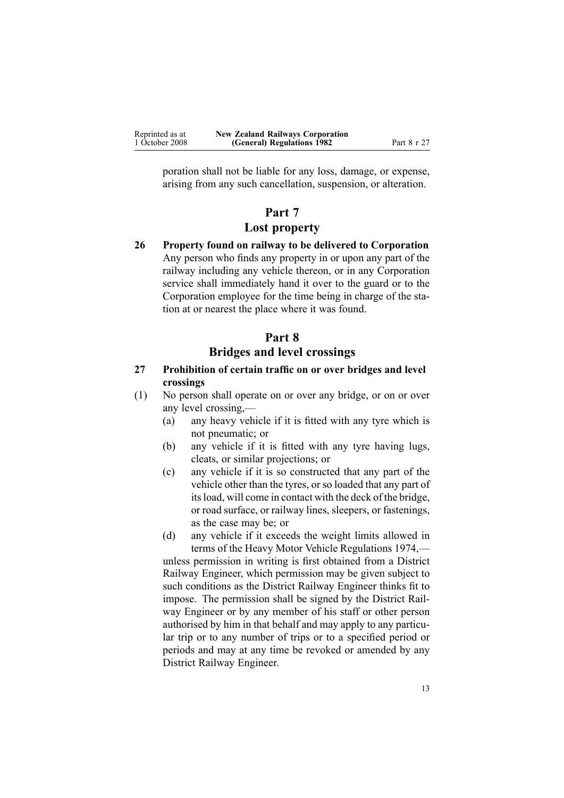<span id="page-12-0"></span>

| Reprinted as at | <b>New Zealand Railways Corporation</b> |             |
|-----------------|-----------------------------------------|-------------|
| 1 October 2008  | (General) Regulations 1982              | Part 8 r 27 |

poration shall not be liable for any loss, damage, or expense, arising from any such cancellation, suspension, or alteration.

## **Part 7 Lost property**

**26 Property found on railway to be delivered to Corporation** Any person who finds any property in or upon any par<sup>t</sup> of the railway including any vehicle thereon, or in any Corporation service shall immediately hand it over to the guard or to the Corporation employee for the time being in charge of the station at or nearest the place where it was found.

## **Part 8 Bridges and level crossings**

- **27 Prohibition of certain traffic on or over bridges and level crossings**
- (1) No person shall operate on or over any bridge, or on or over any level crossing,—
	- (a) any heavy vehicle if it is fitted with any tyre which is not pneumatic; or
	- (b) any vehicle if it is fitted with any tyre having lugs, cleats, or similar projections; or
	- (c) any vehicle if it is so constructed that any par<sup>t</sup> of the vehicle other than the tyres, or so loaded that any par<sup>t</sup> of itsload, will come in contact with the deck of the bridge, or road surface, or railway lines, sleepers, or fastenings, as the case may be; or
	- (d) any vehicle if it exceeds the weight limits allowed in terms of the Heavy Motor Vehicle [Regulations](http://www.legislation.govt.nz/pdflink.aspx?id=DLM43788) 1974, unless permission in writing is first obtained from <sup>a</sup> District Railway Engineer, which permission may be given subject to such conditions as the District Railway Engineer thinks fit to impose. The permission shall be signed by the District Railway Engineer or by any member of his staff or other person authorised by him in that behalf and may apply to any particular trip or to any number of trips or to <sup>a</sup> specified period or periods and may at any time be revoked or amended by any

District Railway Engineer.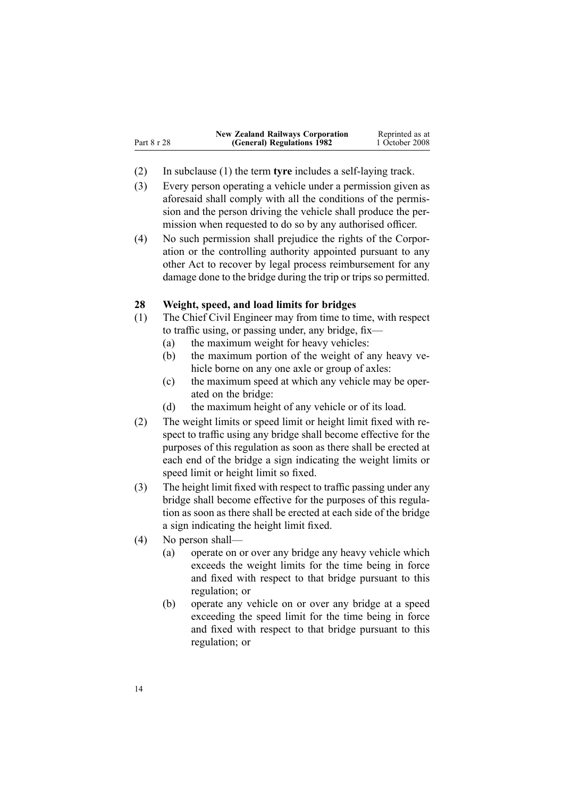<span id="page-13-0"></span>

|             | <b>New Zealand Railways Corporation</b> | Reprinted as at |
|-------------|-----------------------------------------|-----------------|
| Part 8 r 28 | (General) Regulations 1982              | 1 October 2008  |

- (2) In subclause (1) the term **tyre** includes <sup>a</sup> self-laying track.
- (3) Every person operating <sup>a</sup> vehicle under <sup>a</sup> permission given as aforesaid shall comply with all the conditions of the permission and the person driving the vehicle shall produce the permission when requested to do so by any authorised officer.
- (4) No such permission shall prejudice the rights of the Corporation or the controlling authority appointed pursuan<sup>t</sup> to any other Act to recover by legal process reimbursement for any damage done to the bridge during the trip or trips so permitted.

#### **28 Weight, speed, and load limits for bridges**

- (1) The Chief Civil Engineer may from time to time, with respec<sup>t</sup> to traffic using, or passing under, any bridge, fix—
	- (a) the maximum weight for heavy vehicles:
	- (b) the maximum portion of the weight of any heavy vehicle borne on any one axle or group of axles:
	- (c) the maximum speed at which any vehicle may be operated on the bridge:
	- (d) the maximum height of any vehicle or of its load.
- (2) The weight limits or speed limit or height limit fixed with respec<sup>t</sup> to traffic using any bridge shall become effective for the purposes of this regulation as soon as there shall be erected at each end of the bridge <sup>a</sup> sign indicating the weight limits or speed limit or height limit so fixed.
- (3) The height limit fixed with respec<sup>t</sup> to traffic passing under any bridge shall become effective for the purposes of this regulation as soon as there shall be erected at each side of the bridge <sup>a</sup> sign indicating the height limit fixed.
- (4) No person shall—
	- (a) operate on or over any bridge any heavy vehicle which exceeds the weight limits for the time being in force and fixed with respec<sup>t</sup> to that bridge pursuan<sup>t</sup> to this regulation; or
	- (b) operate any vehicle on or over any bridge at <sup>a</sup> speed exceeding the speed limit for the time being in force and fixed with respec<sup>t</sup> to that bridge pursuan<sup>t</sup> to this regulation; or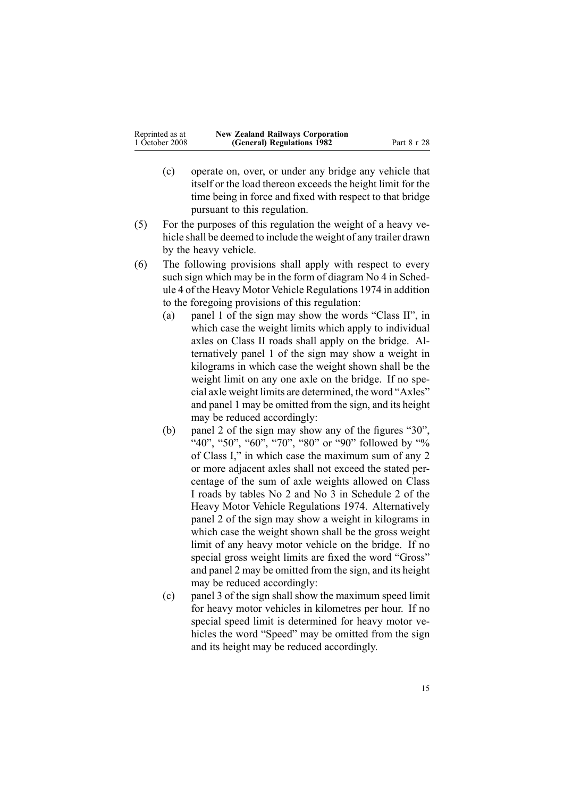| Reprinted as at | <b>New Zealand Railways Corporation</b> |             |
|-----------------|-----------------------------------------|-------------|
| 1 October 2008  | (General) Regulations 1982              | Part 8 r 28 |

- (c) operate on, over, or under any bridge any vehicle that itself or the load thereon exceeds the height limit for the time being in force and fixed with respec<sup>t</sup> to that bridge pursuan<sup>t</sup> to this regulation.
- (5) For the purposes of this regulation the weight of <sup>a</sup> heavy vehicle shall be deemed to include the weight of any trailer drawn by the heavy vehicle.
- (6) The following provisions shall apply with respec<sup>t</sup> to every such sign which may be in the form of diagram No 4 in [Sched](http://www.legislation.govt.nz/pdflink.aspx?id=DLM44788)[ule](http://www.legislation.govt.nz/pdflink.aspx?id=DLM44788) 4 of the Heavy Motor Vehicle Regulations 1974 in addition to the foregoing provisions of this regulation:
	- (a) panel 1 of the sign may show the words "Class II", in which case the weight limits which apply to individual axles on Class II roads shall apply on the bridge. Alternatively panel 1 of the sign may show <sup>a</sup> weight in kilograms in which case the weight shown shall be the weight limit on any one axle on the bridge. If no special axle weight limits are determined, the word "Axles" and panel 1 may be omitted from the sign, and its height may be reduced accordingly:
	- (b) panel 2 of the sign may show any of the figures "30",  $40$ ", "50", "60", "70", "80" or "90" followed by "% of Class I," in which case the maximum sum of any 2 or more adjacent axles shall not exceed the stated percentage of the sum of axle weights allowed on Class I roads by tables No 2 and No 3 in [Schedule](http://www.legislation.govt.nz/pdflink.aspx?id=DLM44781) 2 of the Heavy Motor Vehicle Regulations 1974. Alternatively panel 2 of the sign may show <sup>a</sup> weight in kilograms in which case the weight shown shall be the gross weight limit of any heavy motor vehicle on the bridge. If no special gross weight limits are fixed the word "Gross" and panel 2 may be omitted from the sign, and its height may be reduced accordingly:
	- (c) panel 3 of the sign shall show the maximum speed limit for heavy motor vehicles in kilometres per hour. If no special speed limit is determined for heavy motor vehicles the word "Speed" may be omitted from the sign and its height may be reduced accordingly.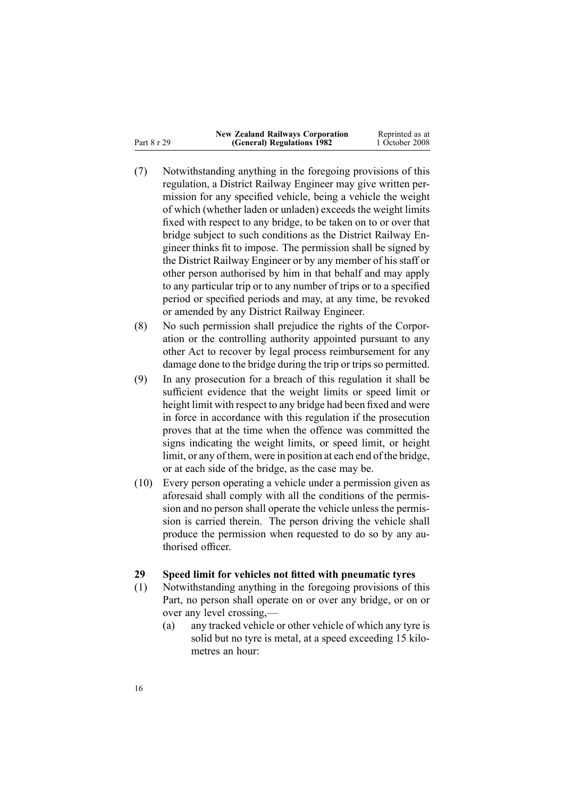<span id="page-15-0"></span>

|             | <b>New Zealand Railways Corporation</b> | Reprinted as at |
|-------------|-----------------------------------------|-----------------|
| Part 8 r 29 | (General) Regulations 1982              | 1 October 2008  |

- (7) Notwithstanding anything in the foregoing provisions of this regulation, <sup>a</sup> District Railway Engineer may give written permission for any specified vehicle, being <sup>a</sup> vehicle the weight of which (whether laden or unladen) exceeds the weight limits fixed with respec<sup>t</sup> to any bridge, to be taken on to or over that bridge subject to such conditions as the District Railway Engineer thinks fit to impose. The permission shall be signed by the District Railway Engineer or by any member of his staff or other person authorised by him in that behalf and may apply to any particular trip or to any number of trips or to <sup>a</sup> specified period or specified periods and may, at any time, be revoked or amended by any District Railway Engineer.
- (8) No such permission shall prejudice the rights of the Corporation or the controlling authority appointed pursuan<sup>t</sup> to any other Act to recover by legal process reimbursement for any damage done to the bridge during the trip or trips so permitted.
- (9) In any prosecution for <sup>a</sup> breach of this regulation it shall be sufficient evidence that the weight limits or speed limit or height limit with respec<sup>t</sup> to any bridge had been fixed and were in force in accordance with this regulation if the prosecution proves that at the time when the offence was committed the signs indicating the weight limits, or speed limit, or height limit, or any of them, were in position at each end of the bridge, or at each side of the bridge, as the case may be.
- (10) Every person operating <sup>a</sup> vehicle under <sup>a</sup> permission given as aforesaid shall comply with all the conditions of the permission and no person shall operate the vehicle unless the permission is carried therein. The person driving the vehicle shall produce the permission when requested to do so by any authorised officer.

#### **29 Speed limit for vehicles not fitted with pneumatic tyres**

- (1) Notwithstanding anything in the foregoing provisions of this Part, no person shall operate on or over any bridge, or on or over any level crossing,—
	- (a) any tracked vehicle or other vehicle of which any tyre is solid but no tyre is metal, at <sup>a</sup> speed exceeding 15 kilometres an hour: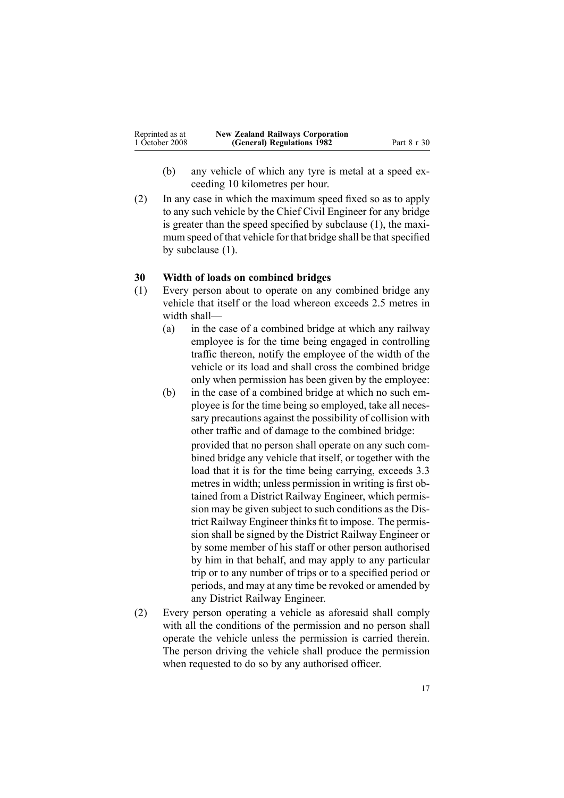<span id="page-16-0"></span>

| Reprinted as at | <b>New Zealand Railways Corporation</b> |             |
|-----------------|-----------------------------------------|-------------|
| 1 October 2008  | (General) Regulations 1982              | Part 8 r 30 |

- (b) any vehicle of which any tyre is metal at <sup>a</sup> speed exceeding 10 kilometres per hour.
- (2) In any case in which the maximum speed fixed so as to apply to any such vehicle by the Chief Civil Engineer for any bridge is greater than the speed specified by subclause (1), the maximum speed of that vehicle for that bridge shall be that specified by subclause (1).

#### **30 Width of loads on combined bridges**

- (1) Every person about to operate on any combined bridge any vehicle that itself or the load whereon exceeds 2.5 metres in width shall—
	- (a) in the case of <sup>a</sup> combined bridge at which any railway employee is for the time being engaged in controlling traffic thereon, notify the employee of the width of the vehicle or its load and shall cross the combined bridge only when permission has been given by the employee:
	- (b) in the case of <sup>a</sup> combined bridge at which no such employee is for the time being so employed, take all necessary precautions against the possibility of collision with other traffic and of damage to the combined bridge:

provided that no person shall operate on any such combined bridge any vehicle that itself, or together with the load that it is for the time being carrying, exceeds 3.3 metres in width; unless permission in writing is first obtained from <sup>a</sup> District Railway Engineer, which permission may be given subject to such conditions as the District Railway Engineer thinks fit to impose. The permission shall be signed by the District Railway Engineer or by some member of his staff or other person authorised by him in that behalf, and may apply to any particular trip or to any number of trips or to <sup>a</sup> specified period or periods, and may at any time be revoked or amended by any District Railway Engineer.

(2) Every person operating <sup>a</sup> vehicle as aforesaid shall comply with all the conditions of the permission and no person shall operate the vehicle unless the permission is carried therein. The person driving the vehicle shall produce the permission when requested to do so by any authorised officer.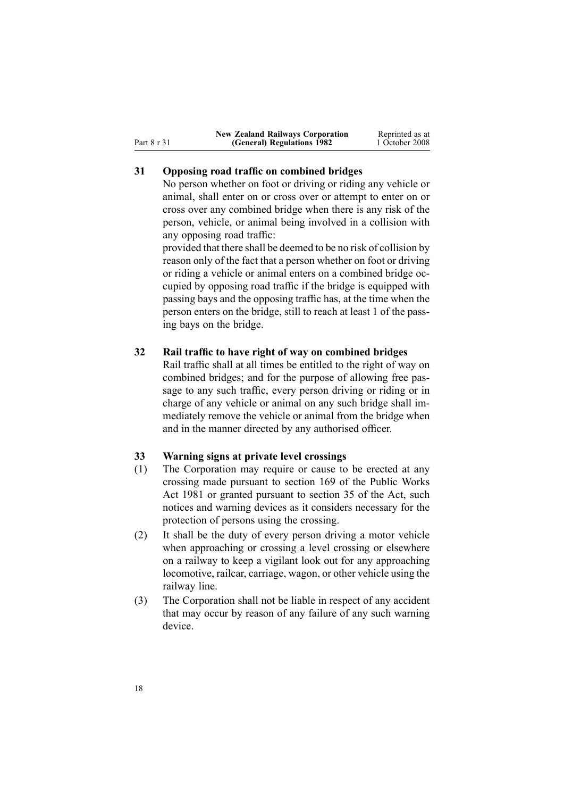<span id="page-17-0"></span>

|             | <b>New Zealand Railways Corporation</b> | Reprinted as at |
|-------------|-----------------------------------------|-----------------|
| Part 8 r 31 | (General) Regulations 1982              | 1 October 2008  |

#### **31 Opposing road traffic on combined bridges**

No person whether on foot or driving or riding any vehicle or animal, shall enter on or cross over or attempt to enter on or cross over any combined bridge when there is any risk of the person, vehicle, or animal being involved in <sup>a</sup> collision with any opposing road traffic:

provided that there shall be deemed to be no risk of collision by reason only of the fact that <sup>a</sup> person whether on foot or driving or riding <sup>a</sup> vehicle or animal enters on <sup>a</sup> combined bridge occupied by opposing road traffic if the bridge is equipped with passing bays and the opposing traffic has, at the time when the person enters on the bridge, still to reach at least 1 of the passing bays on the bridge.

#### **32 Rail traffic to have right of way on combined bridges**

Rail traffic shall at all times be entitled to the right of way on combined bridges; and for the purpose of allowing free passage to any such traffic, every person driving or riding or in charge of any vehicle or animal on any such bridge shall immediately remove the vehicle or animal from the bridge when and in the manner directed by any authorised officer.

#### **33 Warning signs at private level crossings**

- (1) The Corporation may require or cause to be erected at any crossing made pursuan<sup>t</sup> to [section](http://www.legislation.govt.nz/pdflink.aspx?id=DLM47757) 169 of the Public Works Act 1981 or granted pursuan<sup>t</sup> to [section](http://www.legislation.govt.nz/pdflink.aspx?id=DLM57674) 35 of the Act, such notices and warning devices as it considers necessary for the protection of persons using the crossing.
- (2) It shall be the duty of every person driving <sup>a</sup> motor vehicle when approaching or crossing <sup>a</sup> level crossing or elsewhere on <sup>a</sup> railway to keep <sup>a</sup> vigilant look out for any approaching locomotive, railcar, carriage, wagon, or other vehicle using the railway line.
- (3) The Corporation shall not be liable in respec<sup>t</sup> of any accident that may occur by reason of any failure of any such warning device.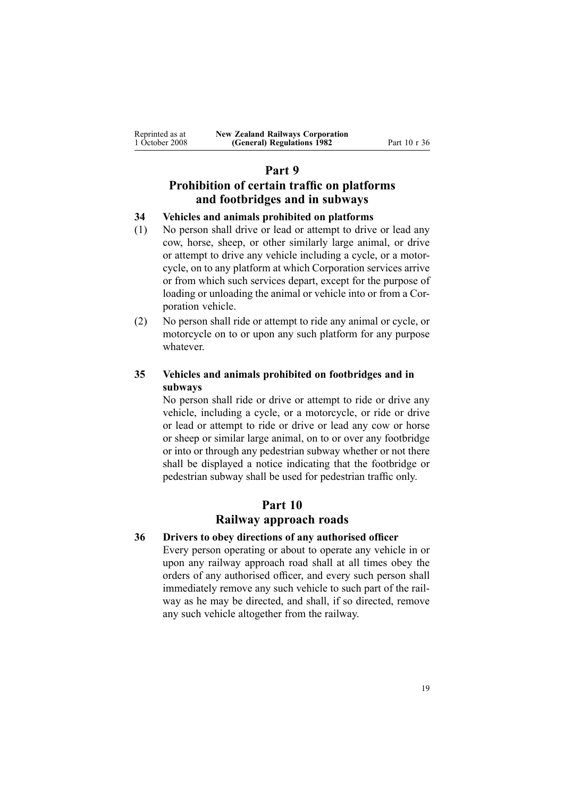<span id="page-18-0"></span>

| Reprinted as at | <b>New Zealand Railways Corporation</b> |
|-----------------|-----------------------------------------|
| 1 October 2008  | (General) Regulations 1982              |

**(General) Regulations 1982** Part 10 <sup>r</sup> 36

#### **Part 9**

## **Prohibition of certain traffic on platforms and footbridges and in subways**

#### **34 Vehicles and animals prohibited on platforms**

- (1) No person shall drive or lead or attempt to drive or lead any cow, horse, sheep, or other similarly large animal, or drive or attempt to drive any vehicle including <sup>a</sup> cycle, or <sup>a</sup> motorcycle, on to any platform at which Corporation services arrive or from which such services depart, excep<sup>t</sup> for the purpose of loading or unloading the animal or vehicle into or from <sup>a</sup> Corporation vehicle.
- (2) No person shall ride or attempt to ride any animal or cycle, or motorcycle on to or upon any such platform for any purpose whatever.

#### **35 Vehicles and animals prohibited on footbridges and in subways**

No person shall ride or drive or attempt to ride or drive any vehicle, including <sup>a</sup> cycle, or <sup>a</sup> motorcycle, or ride or drive or lead or attempt to ride or drive or lead any cow or horse or sheep or similar large animal, on to or over any footbridge or into or through any pedestrian subway whether or not there shall be displayed <sup>a</sup> notice indicating that the footbridge or pedestrian subway shall be used for pedestrian traffic only.

## **Part 10**

### **Railway approach roads**

#### **36 Drivers to obey directions of any authorised officer**

Every person operating or about to operate any vehicle in or upon any railway approach road shall at all times obey the orders of any authorised officer, and every such person shall immediately remove any such vehicle to such par<sup>t</sup> of the railway as he may be directed, and shall, if so directed, remove any such vehicle altogether from the railway.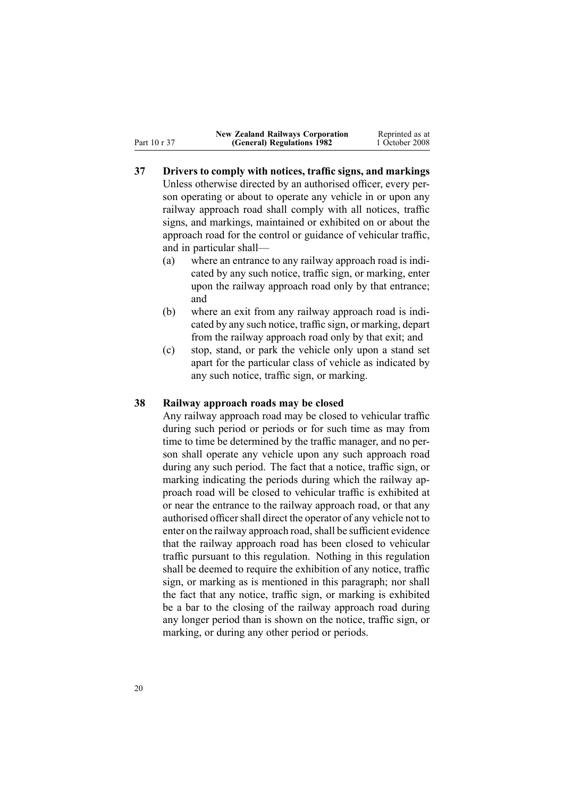<span id="page-19-0"></span>Part 10 <sup>r</sup> 37

- **37 Drivers to comply with notices, traffic signs, and markings** Unless otherwise directed by an authorised officer, every person operating or about to operate any vehicle in or upon any railway approach road shall comply with all notices, traffic signs, and markings, maintained or exhibited on or about the approach road for the control or guidance of vehicular traffic, and in particular shall—
	- (a) where an entrance to any railway approach road is indicated by any such notice, traffic sign, or marking, enter upon the railway approach road only by that entrance; and
	- (b) where an exit from any railway approach road is indicated by any such notice, traffic sign, or marking, depart from the railway approach road only by that exit; and
	- (c) stop, stand, or park the vehicle only upon <sup>a</sup> stand set apar<sup>t</sup> for the particular class of vehicle as indicated by any such notice, traffic sign, or marking.

#### **38 Railway approach roads may be closed**

Any railway approach road may be closed to vehicular traffic during such period or periods or for such time as may from time to time be determined by the traffic manager, and no person shall operate any vehicle upon any such approach road during any such period. The fact that <sup>a</sup> notice, traffic sign, or marking indicating the periods during which the railway approach road will be closed to vehicular traffic is exhibited at or near the entrance to the railway approach road, or that any authorised officer shall direct the operator of any vehicle not to enter on the railway approach road, shall be sufficient evidence that the railway approach road has been closed to vehicular traffic pursuan<sup>t</sup> to this regulation. Nothing in this regulation shall be deemed to require the exhibition of any notice, traffic sign, or marking as is mentioned in this paragraph; nor shall the fact that any notice, traffic sign, or marking is exhibited be <sup>a</sup> bar to the closing of the railway approach road during any longer period than is shown on the notice, traffic sign, or marking, or during any other period or periods.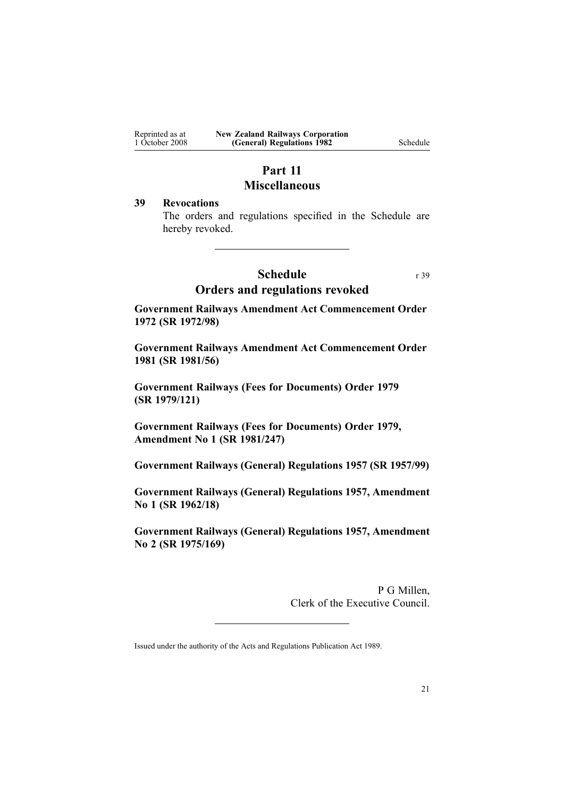<span id="page-20-0"></span>

| Reprinted as at | <b>New Zealand Railways Corporation</b> |
|-----------------|-----------------------------------------|
| 1 October 2008  | (General) Regulations 1982              |

 $S$ chedule

## **Part 11 Miscellaneous**

#### **39 Revocations**

The orders and regulations specified in the Schedule are hereby revoked.

#### **Schedule** r 39

#### **Orders and regulations revoked**

**Government Railways Amendment Act Commencement Order 1972 (SR 1972/98)**

**Government Railways Amendment Act Commencement Order 1981 (SR 1981/56)**

**Government Railways (Fees for Documents) Order 1979 (SR 1979/121)**

**Government Railways (Fees for Documents) Order 1979, Amendment No 1 (SR 1981/247)**

**Government Railways (General) Regulations 1957 (SR 1957/99)**

**Government Railways (General) Regulations 1957, Amendment No 1 (SR 1962/18)**

**Government Railways (General) Regulations 1957, Amendment No 2 (SR 1975/169)**

> P G Millen, Clerk of the Executive Council.

Issued under the authority of the Acts and [Regulations](http://www.legislation.govt.nz/pdflink.aspx?id=DLM195097) Publication Act 1989.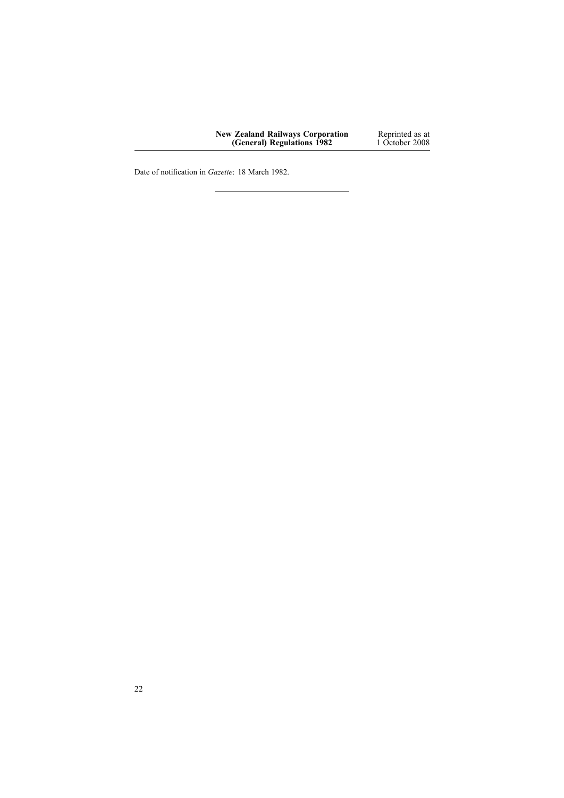| <b>New Zealand Railways Corporation</b> | Reprinted as at |
|-----------------------------------------|-----------------|
| (General) Regulations 1982              | 1 October 2008  |

Date of notification in *Gazette*: 18 March 1982.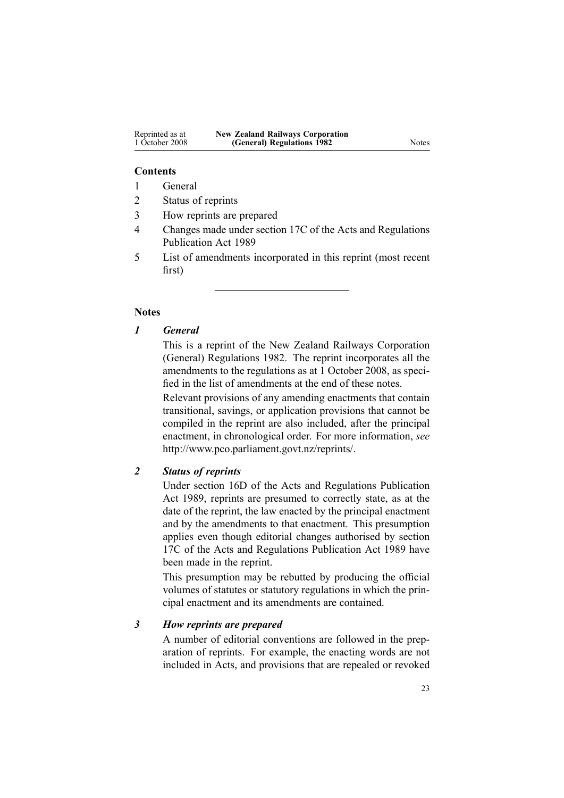#### **Contents**

- 1 General
- 2 Status of reprints
- 3 How reprints are prepared
- 4 Changes made under section 17C of the Acts and Regulations Publication Act 1989
- 5 List of amendments incorporated in this reprint (most recent first)

#### **Notes**

#### *1 General*

This is <sup>a</sup> reprint of the New Zealand Railways Corporation (General) Regulations 1982. The reprint incorporates all the amendments to the regulations as at 1 October 2008, as specified in the list of amendments at the end of these notes.

Relevant provisions of any amending enactments that contain transitional, savings, or application provisions that cannot be compiled in the reprint are also included, after the principal enactment, in chronological order. For more information, *see* <http://www.pco.parliament.govt.nz/reprints/>.

#### *2 Status of reprints*

Under [section](http://www.legislation.govt.nz/pdflink.aspx?id=DLM195439) 16D of the Acts and Regulations Publication Act 1989, reprints are presumed to correctly state, as at the date of the reprint, the law enacted by the principal enactment and by the amendments to that enactment. This presumption applies even though editorial changes authorised by [section](http://www.legislation.govt.nz/pdflink.aspx?id=DLM195466) [17C](http://www.legislation.govt.nz/pdflink.aspx?id=DLM195466) of the Acts and Regulations Publication Act 1989 have been made in the reprint.

This presumption may be rebutted by producing the official volumes of statutes or statutory regulations in which the principal enactment and its amendments are contained.

#### *3 How reprints are prepared*

A number of editorial conventions are followed in the preparation of reprints. For example, the enacting words are not included in Acts, and provisions that are repealed or revoked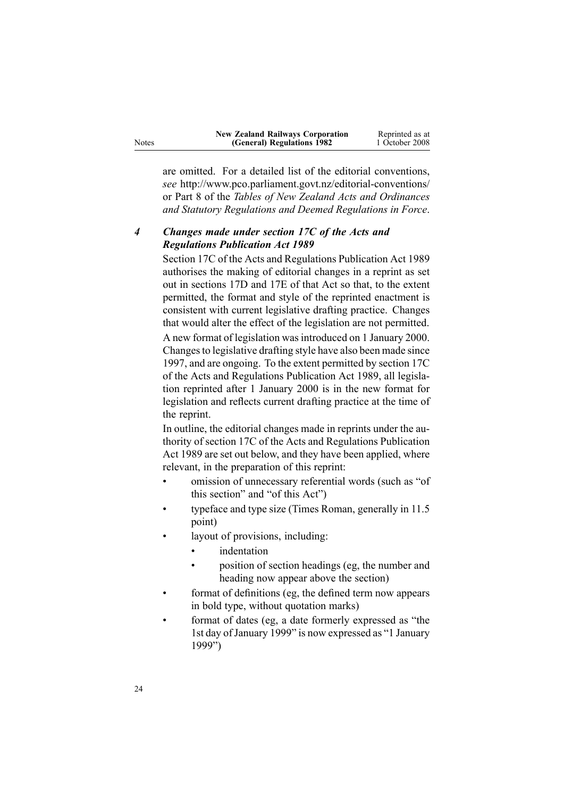| <b>New Zealand Railways Corporation</b> | Reprinted as at |
|-----------------------------------------|-----------------|
| (General) Regulations 1982              | 1 October 2008  |

are omitted. For <sup>a</sup> detailed list of the editorial conventions, *see* [http://www.pco.parliament.govt.nz/editorial-conventions/](http://www.pco.parliament.govt.nz/editorial-conventions/ ) or Part 8 of the *Tables of New Zealand Acts and Ordinances and Statutory Regulations and Deemed Regulations in Force*.

#### *4 Changes made under section 17C of the Acts and Regulations Publication Act 1989*

[Section](http://www.legislation.govt.nz/pdflink.aspx?id=DLM195466) 17C of the Acts and Regulations Publication Act 1989 authorises the making of editorial changes in <sup>a</sup> reprint as set out in [sections](http://www.legislation.govt.nz/pdflink.aspx?id=DLM195468) 17D and [17E](http://www.legislation.govt.nz/pdflink.aspx?id=DLM195470) of that Act so that, to the extent permitted, the format and style of the reprinted enactment is consistent with current legislative drafting practice. Changes that would alter the effect of the legislation are not permitted.

A new format of legislation wasintroduced on 1 January 2000. Changesto legislative drafting style have also been made since 1997, and are ongoing. To the extent permitted by [section](http://www.legislation.govt.nz/pdflink.aspx?id=DLM195466) 17C of the Acts and Regulations Publication Act 1989, all legislation reprinted after 1 January 2000 is in the new format for legislation and reflects current drafting practice at the time of the reprint.

In outline, the editorial changes made in reprints under the authority of [section](http://www.legislation.govt.nz/pdflink.aspx?id=DLM195466) 17C of the Acts and Regulations Publication Act 1989 are set out below, and they have been applied, where relevant, in the preparation of this reprint:

- • omission of unnecessary referential words (such as "of this section" and "of this Act")
- • typeface and type size (Times Roman, generally in 11.5 point)
- • layout of provisions, including:
	- •indentation
	- • position of section headings (eg, the number and heading now appear above the section)
- • format of definitions (eg, the defined term now appears in bold type, without quotation marks)
- • format of dates (eg, <sup>a</sup> date formerly expressed as "the 1st day of January 1999" is now expressed as "1 January 1999")

Notes